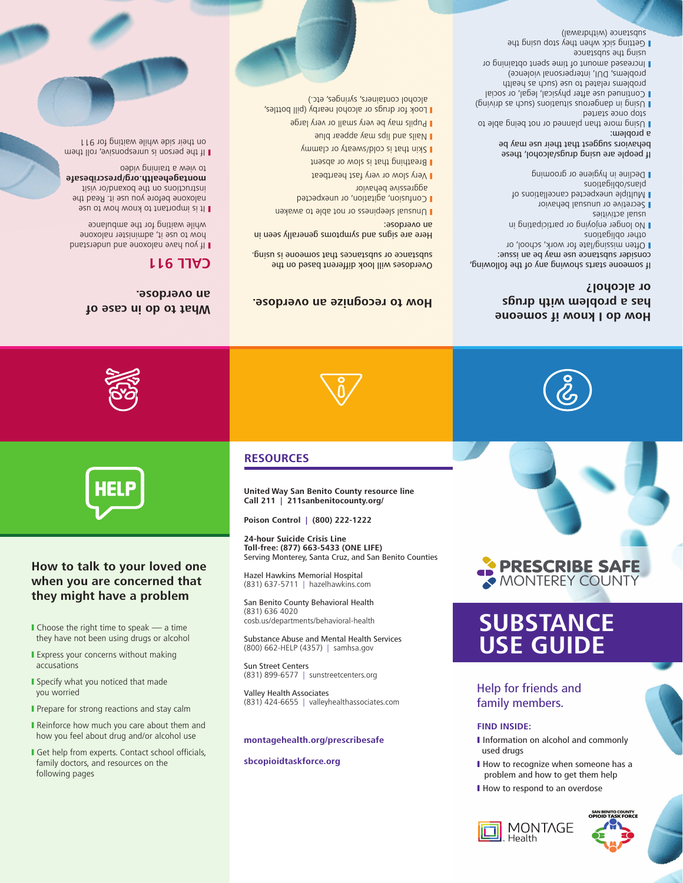- **MONTAGE** Health
- 
- used drugs

I How to respond to an overdose

- 
- 
- 
- 
- 
- 
- 
- 
- 
- I How to recognize when someone has a
- 
- 
- 
- 
- 
- problem and how to get them help
- 
- 
- 
- 
- 
- 
- 
- 
- 
- 
- 
- 
- 
- 
- 
- 
- I Information on alcohol and commonly
- **FIND INSIDE:**

family members.

# Help for friends and **USE GUIDE**

**SUBSTANCE** 







## **How do I know if someone has a problem with drugs or alcohol?**

If someone starts showing any of the following, couziger substance use may be an issue:

- **I** Often missing/late for work, school, or other obligations
- I No longer enjoying or participating in
- usual activities Secretive or unusual behavior
- I Multiple unexpected cancellations of plans/obligations
- **Decline in hygiene or grooming**
- If people are using drugs/alcohol, these
- behaviors suggest that their use may be a problem:
- Using more than planned or not being able to
- stop once started  $U$  (buinup se upns) suomentis snousbuep ui buis $\cap$ **L** Continued use after physical, legal, or social
- problems related to use (such as health) problems, DUI, interpersonal violence)
- Increased amount of time spent obtaining or y apuetzdus ent prieu
- **Jetting sick when they stop using the** substance (withdrawal)



## **How to talk to your loved one when you are concerned that they might have a problem**

I Choose the right time to speak  $-$  a time they have not been using drugs or alcohol **I** Express your concerns without making

**I** Specify what you noticed that made

Prepare for strong reactions and stay calm Reinforce how much you care about them and how you feel about drug and/or alcohol use Get help from experts. Contact school officials, family doctors, and resources on the

accusations

you worried

following pages









### **How to recognize an overdose. What to do in case of an overdose.**

## **CALL 911**

**United Way San Benito County resource line Call 211 | 211sanbenitocounty.org/ Poison Control | (800) 222-1222 24-hour Suicide Crisis Line Toll-free: (877) 663-5433 (ONE LIFE)**

Overdoses will look different based on the substance or substances that someone is using. Here are signs and swapped in use and in use a signal

**Unusual sleepiness or not able to awaken** Confusion, agitation, or unexpected y

sopueno ue

aggressive behavior

Very slow or very fast heartbeat y **Breathing that is slow or absent** I Skin that is cold/sweaty or clammy I Mails and lips may appear plue **Pupils may be very small or very large Look for drugs or alcohol nearby (pill bottles,** alcohol containers, syringes, etc.)

Serving Monterey, Santa Cruz, and San Benito Counties

Hazel Hawkins Memorial Hospital (831) 637-5711 | hazelhawkins.com San Benito County Behavioral Health

cosb.us/departments/behavioral-health

(831) 899-6577 | sunstreetcenters.org

**montagehealth.org/prescribesafe**

Substance Abuse and Mental Health Services (800) 662-HELP (4357) | samhsa.gov

(831) 424-6655 | valleyhealthassociates.com

(831) 636 4020

**RESOURCES**

Sun Street Centers

Valley Health Associates

**sbcopioidtaskforce.org**

- If you have now pues and understand your how to use it, administer naloxone while waiting for the ambulance
- It is important of the wow how to use naloxone before you use it. Read the instructions on the boxand/or visit **montagehealth.org/prescribesafe** to view a training video
- If the person is unresponsive, roll them on their side while waiting for 911